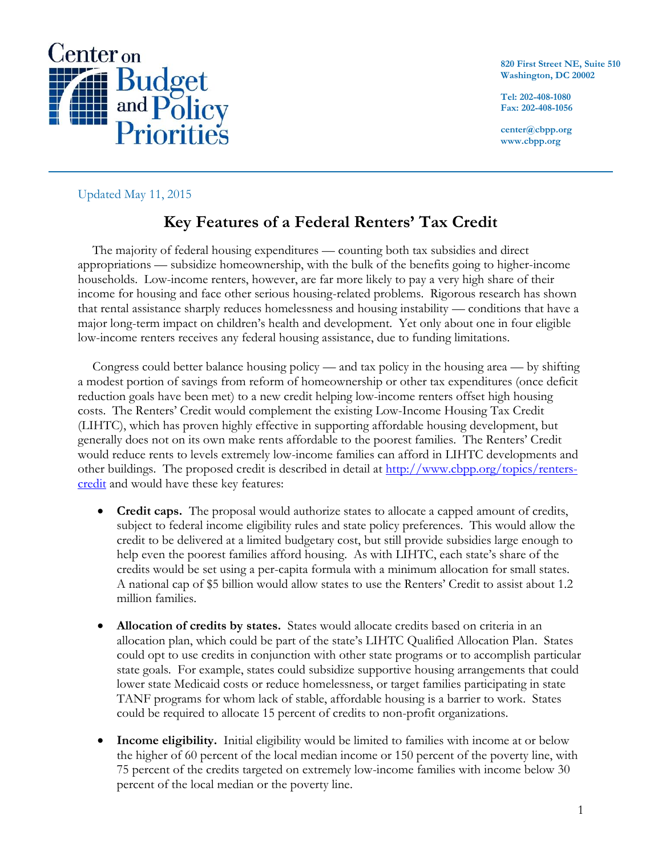

**820 First Street NE, Suite 510 Washington, DC 20002**

**Tel: 202-408-1080 Fax: 202-408-1056**

**center@cbpp.org www.cbpp.org**

Updated May 11, 2015

## **Key Features of a Federal Renters' Tax Credit**

The majority of federal housing expenditures — counting both tax subsidies and direct appropriations — subsidize homeownership, with the bulk of the benefits going to higher-income households. Low-income renters, however, are far more likely to pay a very high share of their income for housing and face other serious housing-related problems. Rigorous research has shown that rental assistance sharply reduces homelessness and housing instability — conditions that have a major long-term impact on children's health and development. Yet only about one in four eligible low-income renters receives any federal housing assistance, due to funding limitations.

Congress could better balance housing policy — and tax policy in the housing area — by shifting a modest portion of savings from reform of homeownership or other tax expenditures (once deficit reduction goals have been met) to a new credit helping low-income renters offset high housing costs. The Renters' Credit would complement the existing Low-Income Housing Tax Credit (LIHTC), which has proven highly effective in supporting affordable housing development, but generally does not on its own make rents affordable to the poorest families. The Renters' Credit would reduce rents to levels extremely low-income families can afford in LIHTC developments and other buildings. The proposed credit is described in detail at [http://www.cbpp.org/topics/renters](http://www.cbpp.org/topics/renters-credit)[credit](http://www.cbpp.org/topics/renters-credit) and would have these key features:

- **Credit caps.** The proposal would authorize states to allocate a capped amount of credits, subject to federal income eligibility rules and state policy preferences. This would allow the credit to be delivered at a limited budgetary cost, but still provide subsidies large enough to help even the poorest families afford housing. As with LIHTC, each state's share of the credits would be set using a per-capita formula with a minimum allocation for small states. A national cap of \$5 billion would allow states to use the Renters' Credit to assist about 1.2 million families.
- **Allocation of credits by states.** States would allocate credits based on criteria in an allocation plan, which could be part of the state's LIHTC Qualified Allocation Plan. States could opt to use credits in conjunction with other state programs or to accomplish particular state goals. For example, states could subsidize supportive housing arrangements that could lower state Medicaid costs or reduce homelessness, or target families participating in state TANF programs for whom lack of stable, affordable housing is a barrier to work. States could be required to allocate 15 percent of credits to non-profit organizations.
- **Income eligibility.** Initial eligibility would be limited to families with income at or below the higher of 60 percent of the local median income or 150 percent of the poverty line, with 75 percent of the credits targeted on extremely low-income families with income below 30 percent of the local median or the poverty line.